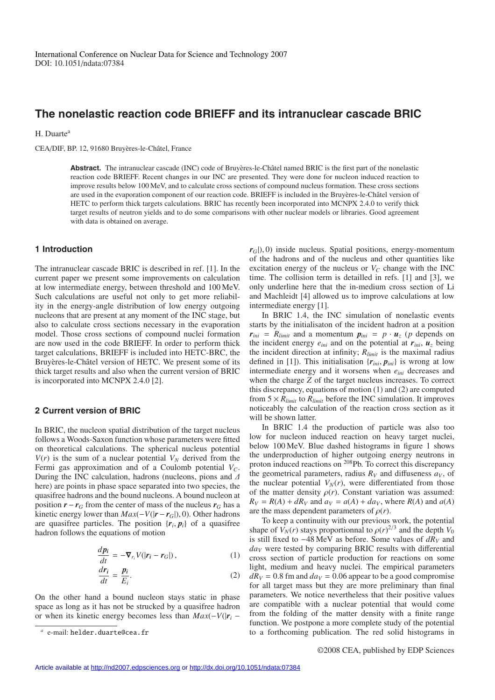# **The nonelastic reaction code BRIEFF and its intranuclear cascade BRIC**

H. Duarte<sup>a</sup>

CEA/DIF, BP. 12, 91680 Bruyères-le-Châtel, France

Abstract. The intranuclear cascade (INC) code of Bruyères-le-Châtel named BRIC is the first part of the nonelastic reaction code BRIEFF. Recent changes in our INC are presented. They were done for nucleon induced reaction to improve results below 100 MeV, and to calculate cross sections of compound nucleus formation. These cross sections are used in the evaporation component of our reaction code. BRIEFF is included in the Bruyères-le-Châtel version of HETC to perform thick targets calculations. BRIC has recently been incorporated into MCNPX 2.4.0 to verify thick target results of neutron yields and to do some comparisons with other nuclear models or libraries. Good agreement with data is obtained on average.

## **1 Introduction**

The intranuclear cascade BRIC is described in ref. [1]. In the current paper we present some improvements on calculation at low intermediate energy, between threshold and 100 MeV. Such calculations are useful not only to get more reliability in the energy-angle distribution of low energy outgoing nucleons that are present at any moment of the INC stage, but also to calculate cross sections necessary in the evaporation model. Those cross sections of compound nuclei formation are now used in the code BRIEFF. In order to perform thick target calculations, BRIEFF is included into HETC-BRC, the Bruyères-le-Châtel version of HETC. We present some of its thick target results and also when the current version of BRIC is incorporated into MCNPX 2.4.0 [2].

### **2 Current version of BRIC**

In BRIC, the nucleon spatial distribution of the target nucleus follows a Woods-Saxon function whose parameters were fitted on theoretical calculations. The spherical nucleus potential  $V(r)$  is the sum of a nuclear potential  $V_N$  derived from the Fermi gas approximation and of a Coulomb potential  $V_C$ . During the INC calculation, hadrons (nucleons, pions and ∆ here) are points in phase space separated into two species, the quasifree hadrons and the bound nucleons. A bound nucleon at position  $r - r_G$  from the center of mass of the nucleus  $r_G$  has a kinetic energy lower than  $Max(-V(|r - r_G|), 0)$ . Other hadrons are quasifree particles. The position  $\{r_i, p_i\}$  of a quasifree hadron follows the equations of motion

$$
\frac{dp_i}{dt} = -\nabla_{r_i} V(|r_i - r_G|),\tag{1}
$$

$$
\frac{dr_i}{dt} = \frac{p_i}{E_i}.\tag{2}
$$

On the other hand a bound nucleon stays static in phase space as long as it has not be strucked by a quasifree hadron or when its kinetic energy becomes less than  $Max(-V(|r_i - r_j|))$ 

 $r$ *G* $|$ ), 0) inside nucleus. Spatial positions, energy-momentum of the hadrons and of the nucleus and other quantities like excitation energy of the nucleus or  $V_C$  change with the INC time. The collision term is detailled in refs. [1] and [3], we only underline here that the in-medium cross section of Li and Machleidt [4] allowed us to improve calculations at low intermediate energy [1].

In BRIC 1.4, the INC simulation of nonelastic events starts by the initialisaton of the incident hadron at a position  $r_{ini}$  =  $R_{limit}$  and a momentum  $p_{ini}$  =  $p \cdot u_z$  (*p* depends on the incident energy  $e_{ini}$  and on the potential at  $r_{ini}$ ,  $u_z$  being the incident direction at infinity; *Rlimit* is the maximal radius defined in [1]). This initialisation  $\{r_{ini}, p_{ini}\}$  is wrong at low intermediate energy and it worsens when *eini* decreases and when the charge *Z* of the target nucleus increases. To correct this discrepancy, equations of motion (1) and (2) are computed from  $5 \times R_{limit}$  to  $R_{limit}$  before the INC simulation. It improves noticeably the calculation of the reaction cross section as it will be shown latter.

In BRIC 1.4 the production of particle was also too low for nucleon induced reaction on heavy target nuclei, below 100 MeV. Blue dashed histograms in figure 1 shows the underproduction of higher outgoing energy neutrons in proton induced reactions on 208Pb. To correct this discrepancy the geometrical parameters, radius  $R_V$  and diffuseness  $a_V$ , of the nuclear potential  $V_N(r)$ , were differentiated from those of the matter density  $\rho(r)$ . Constant variation was assumed:  $R_V = R(A) + dR_V$  and  $a_V = a(A) + d a_V$ , where  $R(A)$  and  $a(A)$ are the mass dependent parameters of  $\rho(r)$ .

To keep a continuity with our previous work, the potential shape of  $V_N(r)$  stays proportionnal to  $\rho(r)^{2/3}$  and the depth  $V_0$ is still fixed to −48 MeV as before. Some values of *dRV* and *daV* were tested by comparing BRIC results with differential cross section of particle production for reactions on some light, medium and heavy nuclei. The empirical parameters  $dR_V = 0.8$  fm and  $d a_V = 0.06$  appear to be a good compromise for all target mass but they are more preliminary than final parameters. We notice nevertheless that their positive values are compatible with a nuclear potential that would come from the folding of the matter density with a finite range function. We postpone a more complete study of the potential to a forthcoming publication. The red solid histograms in

*<sup>a</sup>* e-mail: helder.duarte@cea.fr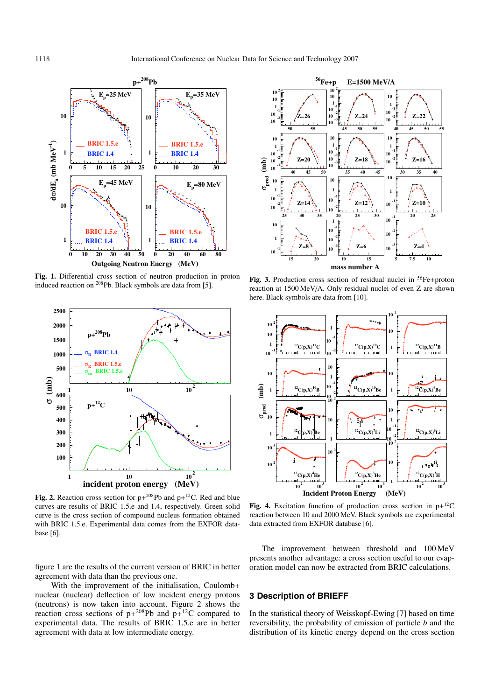

**Fig. 1.** Differential cross section of neutron production in proton induced reaction on 208Pb. Black symbols are data from [5].



**Fig. 2.** Reaction cross section for  $p+^{208}Pb$  and  $p+^{12}C$ . Red and blue curves are results of BRIC 1.5.e and 1.4, respectively. Green solid curve is the cross section of compound nucleus formation obtained with BRIC 1.5.e. Experimental data comes from the EXFOR database [6].

figure 1 are the results of the current version of BRIC in better agreement with data than the previous one.

With the improvement of the initialisation, Coulomb+ nuclear (nuclear) deflection of low incident energy protons (neutrons) is now taken into account. Figure 2 shows the reaction cross sections of  $p+^{208}Pb$  and  $p+^{12}C$  compared to experimental data. The results of BRIC 1.5.e are in better agreement with data at low intermediate energy.



**Fig. 3.** Production cross section of residual nuclei in <sup>56</sup>Fe+proton reaction at 1500 MeV/A. Only residual nuclei of even Z are shown here. Black symbols are data from [10].



**Fig. 4.** Excitation function of production cross section in  $p+^{12}C$ reaction between 10 and 2000 MeV. Black symbols are experimental data extracted from EXFOR database [6].

The improvement between threshold and 100 MeV presents another advantage: a cross section useful to our evaporation model can now be extracted from BRIC calculations.

# **3 Description of BRIEFF**

In the statistical theory of Weisskopf-Ewing [7] based on time reversibility, the probability of emission of particle *b* and the distribution of its kinetic energy depend on the cross section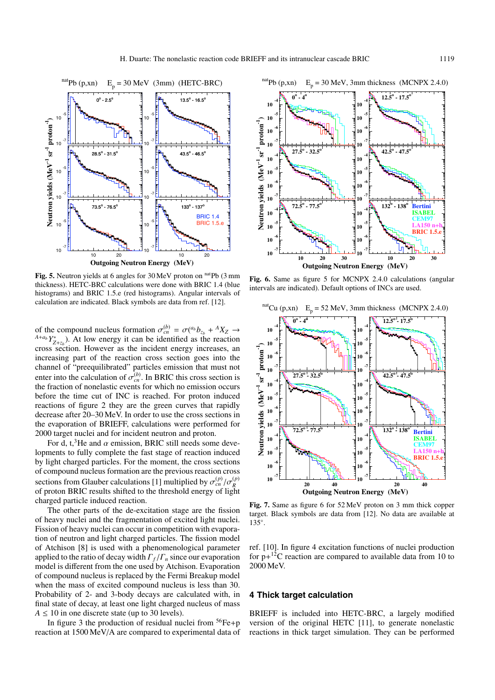

**Fig. 5.** Neutron yields at 6 angles for 30 MeV proton on natpb (3 mm thickness). HETC-BRC calculations were done with BRIC 1.4 (blue histograms) and BRIC 1.5.e (red histograms). Angular intervals of calculation are indicated. Black symbols are data from ref. [12].

of the compound nucleus formation  $\sigma_{cn}^{(b)} = \sigma({}^{a_b}b_{z_b} + {}^AX_Z \rightarrow {}^{A+a_b}Y_{Z+z_b}^*$ ). At low energy it can be identified as the reaction cross section. However as the incident energy increases, an increasing part of the reaction cross section goes into the channel of "preequilibrated" particles emission that must not enter into the calculation of  $\sigma_{cn}^{(b)}$ . In BRIC this cross section is the fraction of nonelastic events for which no emission occurs before the time cut of INC is reached. For proton induced reactions of figure 2 they are the green curves that rapidly decrease after 20–30 MeV. In order to use the cross sections in the evaporation of BRIEFF, calculations were performed for 2000 target nuclei and for incident neutron and proton.

For d, t,<sup>3</sup>He and  $\alpha$  emission, BRIC still needs some developments to fully complete the fast stage of reaction induced by light charged particles. For the moment, the cross sections of compound nucleus formation are the previous reaction cross sections from Glauber calculations [1] multiplied by  $\sigma_{cn}^{(p)}/\sigma_R^{(p)}$ of proton BRIC results shifted to the threshold energy of light charged particle induced reaction.

The other parts of the de-excitation stage are the fission of heavy nuclei and the fragmentation of excited light nuclei. Fission of heavy nuclei can occur in competition with evaporation of neutron and light charged particles. The fission model of Atchison [8] is used with a phenomenological parameter applied to the ratio of decay width Γ*<sup>f</sup>* /Γ*<sup>n</sup>* since our evaporation model is different from the one used by Atchison. Evaporation of compound nucleus is replaced by the Fermi Breakup model when the mass of excited compound nucleus is less than 30. Probability of 2- and 3-body decays are calculated with, in final state of decay, at least one light charged nucleus of mass  $A \leq 10$  in one discrete state (up to 30 levels).

In figure 3 the production of residual nuclei from  ${}^{56}Fe + p$ reaction at 1500 MeV/A are compared to experimental data of



**Fig. 6.** Same as figure 5 for MCNPX 2.4.0 calculations (angular intervals are indicated). Default options of INCs are used.



**Fig. 7.** Same as figure 6 for 52 MeV proton on 3 mm thick copper target. Black symbols are data from [12]. No data are available at 135◦.

ref. [10]. In figure 4 excitation functions of nuclei production for  $p+^{12}C$  reaction are compared to available data from 10 to 2000 MeV.

## **4 Thick target calculation**

BRIEFF is included into HETC-BRC, a largely modified version of the original HETC [11], to generate nonelastic reactions in thick target simulation. They can be performed